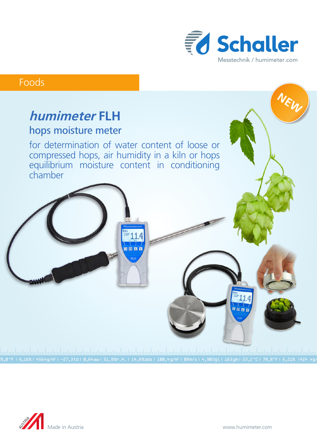

**NEW**

## Foods

# **humimeter FLH** hops moisture meter

for determination of water content of loose or compressed hops, air humidity in a kiln or hops equilibrium moisture content in conditioning chamber

 $\blacksquare$ 

78,0 °F | 6,16%| 456 kg/m3 | -27,3 td| 0,64 aw| 51,9 %r.H.| 14,8 % abs| 100,4 g/m2 | 09 m/s| 4,90 Ugl| 163 ym| 23,2 °C| 78,8°F| 6,21% |424 kg/m